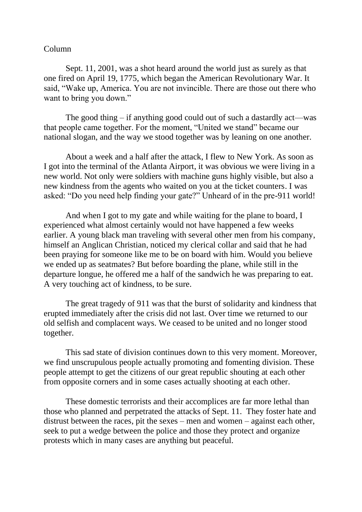## Column

Sept. 11, 2001, was a shot heard around the world just as surely as that one fired on April 19, 1775, which began the American Revolutionary War. It said, "Wake up, America. You are not invincible. There are those out there who want to bring you down."

The good thing – if anything good could out of such a dastardly act—was that people came together. For the moment, "United we stand" became our national slogan, and the way we stood together was by leaning on one another.

About a week and a half after the attack, I flew to New York. As soon as I got into the terminal of the Atlanta Airport, it was obvious we were living in a new world. Not only were soldiers with machine guns highly visible, but also a new kindness from the agents who waited on you at the ticket counters. I was asked: "Do you need help finding your gate?" Unheard of in the pre-911 world!

And when I got to my gate and while waiting for the plane to board, I experienced what almost certainly would not have happened a few weeks earlier. A young black man traveling with several other men from his company, himself an Anglican Christian, noticed my clerical collar and said that he had been praying for someone like me to be on board with him. Would you believe we ended up as seatmates? But before boarding the plane, while still in the departure longue, he offered me a half of the sandwich he was preparing to eat. A very touching act of kindness, to be sure.

The great tragedy of 911 was that the burst of solidarity and kindness that erupted immediately after the crisis did not last. Over time we returned to our old selfish and complacent ways. We ceased to be united and no longer stood together.

This sad state of division continues down to this very moment. Moreover, we find unscrupulous people actually promoting and fomenting division. These people attempt to get the citizens of our great republic shouting at each other from opposite corners and in some cases actually shooting at each other.

These domestic terrorists and their accomplices are far more lethal than those who planned and perpetrated the attacks of Sept. 11. They foster hate and distrust between the races, pit the sexes – men and women – against each other, seek to put a wedge between the police and those they protect and organize protests which in many cases are anything but peaceful.